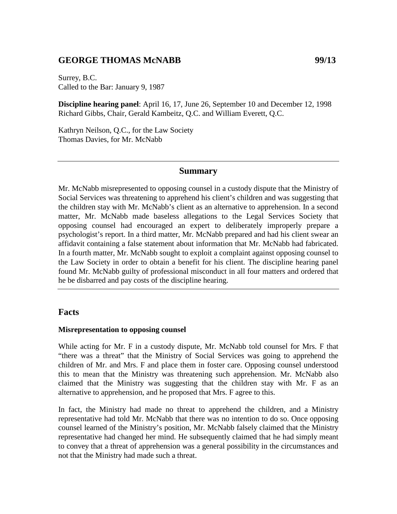# **GEORGE THOMAS McNABB 99/13**

Surrey, B.C. Called to the Bar: January 9, 1987

**Discipline hearing panel**: April 16, 17, June 26, September 10 and December 12, 1998 Richard Gibbs, Chair, Gerald Kambeitz, Q.C. and William Everett, Q.C.

Kathryn Neilson, Q.C., for the Law Society Thomas Davies, for Mr. McNabb

# **Summary**

Mr. McNabb misrepresented to opposing counsel in a custody dispute that the Ministry of Social Services was threatening to apprehend his client's children and was suggesting that the children stay with Mr. McNabb's client as an alternative to apprehension. In a second matter, Mr. McNabb made baseless allegations to the Legal Services Society that opposing counsel had encouraged an expert to deliberately improperly prepare a psychologist's report. In a third matter, Mr. McNabb prepared and had his client swear an affidavit containing a false statement about information that Mr. McNabb had fabricated. In a fourth matter, Mr. McNabb sought to exploit a complaint against opposing counsel to the Law Society in order to obtain a benefit for his client. The discipline hearing panel found Mr. McNabb guilty of professional misconduct in all four matters and ordered that he be disbarred and pay costs of the discipline hearing.

# **Facts**

#### **Misrepresentation to opposing counsel**

While acting for Mr. F in a custody dispute, Mr. McNabb told counsel for Mrs. F that "there was a threat" that the Ministry of Social Services was going to apprehend the children of Mr. and Mrs. F and place them in foster care. Opposing counsel understood this to mean that the Ministry was threatening such apprehension. Mr. McNabb also claimed that the Ministry was suggesting that the children stay with Mr. F as an alternative to apprehension, and he proposed that Mrs. F agree to this.

In fact, the Ministry had made no threat to apprehend the children, and a Ministry representative had told Mr. McNabb that there was no intention to do so. Once opposing counsel learned of the Ministry's position, Mr. McNabb falsely claimed that the Ministry representative had changed her mind. He subsequently claimed that he had simply meant to convey that a threat of apprehension was a general possibility in the circumstances and not that the Ministry had made such a threat.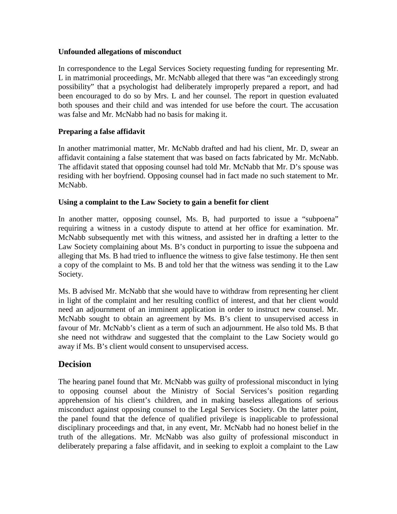#### **Unfounded allegations of misconduct**

In correspondence to the Legal Services Society requesting funding for representing Mr. L in matrimonial proceedings, Mr. McNabb alleged that there was "an exceedingly strong possibility" that a psychologist had deliberately improperly prepared a report, and had been encouraged to do so by Mrs. L and her counsel. The report in question evaluated both spouses and their child and was intended for use before the court. The accusation was false and Mr. McNabb had no basis for making it.

# **Preparing a false affidavit**

In another matrimonial matter, Mr. McNabb drafted and had his client, Mr. D, swear an affidavit containing a false statement that was based on facts fabricated by Mr. McNabb. The affidavit stated that opposing counsel had told Mr. McNabb that Mr. D's spouse was residing with her boyfriend. Opposing counsel had in fact made no such statement to Mr. McNabb.

# **Using a complaint to the Law Society to gain a benefit for client**

In another matter, opposing counsel, Ms. B, had purported to issue a "subpoena" requiring a witness in a custody dispute to attend at her office for examination. Mr. McNabb subsequently met with this witness, and assisted her in drafting a letter to the Law Society complaining about Ms. B's conduct in purporting to issue the subpoena and alleging that Ms. B had tried to influence the witness to give false testimony. He then sent a copy of the complaint to Ms. B and told her that the witness was sending it to the Law Society.

Ms. B advised Mr. McNabb that she would have to withdraw from representing her client in light of the complaint and her resulting conflict of interest, and that her client would need an adjournment of an imminent application in order to instruct new counsel. Mr. McNabb sought to obtain an agreement by Ms. B's client to unsupervised access in favour of Mr. McNabb's client as a term of such an adjournment. He also told Ms. B that she need not withdraw and suggested that the complaint to the Law Society would go away if Ms. B's client would consent to unsupervised access.

# **Decision**

The hearing panel found that Mr. McNabb was guilty of professional misconduct in lying to opposing counsel about the Ministry of Social Services's position regarding apprehension of his client's children, and in making baseless allegations of serious misconduct against opposing counsel to the Legal Services Society. On the latter point, the panel found that the defence of qualified privilege is inapplicable to professional disciplinary proceedings and that, in any event, Mr. McNabb had no honest belief in the truth of the allegations. Mr. McNabb was also guilty of professional misconduct in deliberately preparing a false affidavit, and in seeking to exploit a complaint to the Law